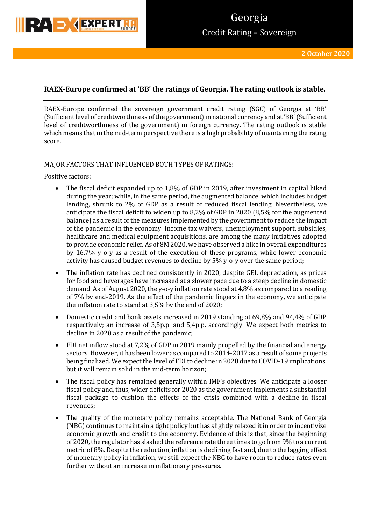

# **RAEX-Europe confirmed at 'BB' the ratings of Georgia. The rating outlook is stable.**

RAEX-Europe confirmed the sovereign government credit rating (SGC) of Georgia at 'BB' (Sufficient level of creditworthiness of the government) in national currency and at 'BB' (Sufficient level of creditworthiness of the government) in foreign currency. The rating outlook is stable which means that in the mid-term perspective there is a high probability of maintaining the rating score.

# MAJOR FACTORS THAT INFLUENCED BOTH TYPES OF RATINGS:

Positive factors:

- The fiscal deficit expanded up to 1,8% of GDP in 2019, after investment in capital hiked during the year; while, in the same period, the augmented balance, which includes budget lending, shrunk to 2% of GDP as a result of reduced fiscal lending. Nevertheless, we anticipate the fiscal deficit to widen up to 8,2% of GDP in 2020 (8,5% for the augmented balance) as a result of the measures implemented by the government to reduce the impact of the pandemic in the economy. Income tax waivers, unemployment support, subsidies, healthcare and medical equipment acquisitions, are among the many initiatives adopted to provide economic relief. As of 8M 2020, we have observed a hike in overall expenditures by 16,7% y-o-y as a result of the execution of these programs, while lower economic activity has caused budget revenues to decline by 5% y-o-y over the same period;
- The inflation rate has declined consistently in 2020, despite GEL depreciation, as prices for food and beverages have increased at a slower pace due to a steep decline in domestic demand. As of August 2020, the y-o-y inflation rate stood at 4,8% as compared to a reading of 7% by end-2019. As the effect of the pandemic lingers in the economy, we anticipate the inflation rate to stand at 3,5% by the end of 2020;
- Domestic credit and bank assets increased in 2019 standing at 69,8% and 94,4% of GDP respectively; an increase of 3,5p.p. and 5,4p.p. accordingly. We expect both metrics to decline in 2020 as a result of the pandemic;
- FDI net inflow stood at 7,2% of GDP in 2019 mainly propelled by the financial and energy sectors. However, it has been lower as compared to 2014-2017 as a result of some projects being finalized. We expect the level of FDI to decline in 2020 due to COVID-19 implications, but it will remain solid in the mid-term horizon;
- The fiscal policy has remained generally within IMF's objectives. We anticipate a looser fiscal policy and, thus, wider deficits for 2020 as the government implements a substantial fiscal package to cushion the effects of the crisis combined with a decline in fiscal revenues;
- The quality of the monetary policy remains acceptable. The National Bank of Georgia (NBG) continues to maintain a tight policy but has slightly relaxed it in order to incentivize economic growth and credit to the economy. Evidence of this is that, since the beginning of 2020, the regulator has slashed the reference rate three times to go from 9% to a current metric of 8%. Despite the reduction, inflation is declining fast and, due to the lagging effect of monetary policy in inflation, we still expect the NBG to have room to reduce rates even further without an increase in inflationary pressures.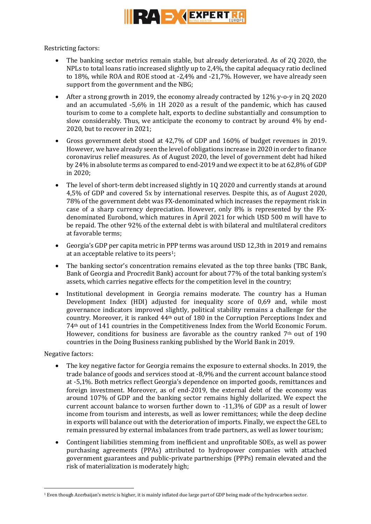

Restricting factors:

- The banking sector metrics remain stable, but already deteriorated. As of 2Q 2020, the NPLs to total loans ratio increased slightly up to 2,4%, the capital adequacy ratio declined to 18%, while ROA and ROE stood at -2,4% and -21,7%. However, we have already seen support from the government and the NBG;
- After a strong growth in 2019, the economy already contracted by 12% y-o-y in 2Q 2020 and an accumulated -5,6% in 1H 2020 as a result of the pandemic, which has caused tourism to come to a complete halt, exports to decline substantially and consumption to slow considerably. Thus, we anticipate the economy to contract by around 4% by end-2020, but to recover in 2021;
- Gross government debt stood at 42,7% of GDP and 160% of budget revenues in 2019. However, we have already seen the level of obligations increase in 2020 in order to finance coronavirus relief measures. As of August 2020, the level of government debt had hiked by 24% in absolute terms as compared to end-2019 and we expect it to be at 62,8% of GDP in 2020;
- The level of short-term debt increased slightly in 10 2020 and currently stands at around 4,5% of GDP and covered 5x by international reserves. Despite this, as of August 2020, 78% of the government debt was FX-denominated which increases the repayment risk in case of a sharp currency depreciation. However, only 8% is represented by the FXdenominated Eurobond, which matures in April 2021 for which USD 500 m will have to be repaid. The other 92% of the external debt is with bilateral and multilateral creditors at favorable terms;
- Georgia's GDP per capita metric in PPP terms was around USD 12,3th in 2019 and remains at an acceptable relative to its peers1;
- The banking sector's concentration remains elevated as the top three banks (TBC Bank, Bank of Georgia and Procredit Bank) account for about 77% of the total banking system's assets, which carries negative effects for the competition level in the country;
- Institutional development in Georgia remains moderate. The country has a Human Development Index (HDI) adjusted for inequality score of 0,69 and, while most governance indicators improved slightly, political stability remains a challenge for the country. Moreover, it is ranked 44th out of 180 in the Corruption Perceptions Index and 74th out of 141 countries in the Competitiveness Index from the World Economic Forum. However, conditions for business are favorable as the country ranked 7th out of 190 countries in the Doing Business ranking published by the World Bank in 2019.

Negative factors:

**.** 

- The key negative factor for Georgia remains the exposure to external shocks. In 2019, the trade balance of goods and services stood at -8,9% and the current account balance stood at -5,1%. Both metrics reflect Georgia's dependence on imported goods, remittances and foreign investment. Moreover, as of end-2019, the external debt of the economy was around 107% of GDP and the banking sector remains highly dollarized. We expect the current account balance to worsen further down to -11,3% of GDP as a result of lower income from tourism and interests, as well as lower remittances; while the deep decline in exports will balance out with the deterioration of imports. Finally, we expect the GEL to remain pressured by external imbalances from trade partners, as well as lower tourism;
- Contingent liabilities stemming from inefficient and unprofitable SOEs, as well as power purchasing agreements (PPAs) attributed to hydropower companies with attached government guarantees and public-private partnerships (PPPs) remain elevated and the risk of materialization is moderately high;

<sup>1</sup> Even though Azerbaijan's metric is higher, it is mainly inflated due large part of GDP being made of the hydrocarbon sector.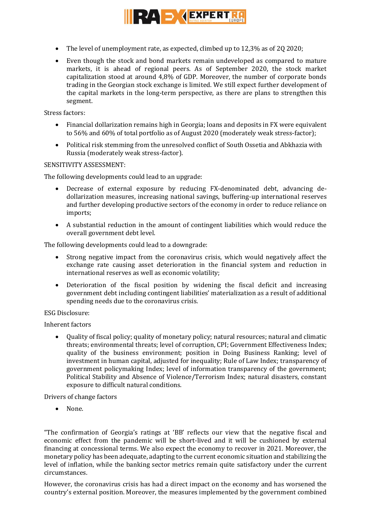

- The level of unemployment rate, as expected, climbed up to 12,3% as of 2Q 2020;
- Even though the stock and bond markets remain undeveloped as compared to mature markets, it is ahead of regional peers. As of September 2020, the stock market capitalization stood at around 4,8% of GDP. Moreover, the number of corporate bonds trading in the Georgian stock exchange is limited. We still expect further development of the capital markets in the long-term perspective, as there are plans to strengthen this segment.

Stress factors:

- Financial dollarization remains high in Georgia; loans and deposits in FX were equivalent to 56% and 60% of total portfolio as of August 2020 (moderately weak stress-factor);
- Political risk stemming from the unresolved conflict of South Ossetia and Abkhazia with Russia (moderately weak stress-factor).

# SENSITIVITY ASSESSMENT:

The following developments could lead to an upgrade:

- Decrease of external exposure by reducing FX-denominated debt, advancing dedollarization measures, increasing national savings, buffering-up international reserves and further developing productive sectors of the economy in order to reduce reliance on imports;
- A substantial reduction in the amount of contingent liabilities which would reduce the overall government debt level.

The following developments could lead to a downgrade:

- Strong negative impact from the coronavirus crisis, which would negatively affect the exchange rate causing asset deterioration in the financial system and reduction in international reserves as well as economic volatility;
- Deterioration of the fiscal position by widening the fiscal deficit and increasing government debt including contingent liabilities' materialization as a result of additional spending needs due to the coronavirus crisis.

ESG Disclosure:

Inherent factors

 Quality of fiscal policy; quality of monetary policy; natural resources; natural and climatic threats; environmental threats; level of corruption, CPI; Government Effectiveness Index; quality of the business environment; position in Doing Business Ranking; level of investment in human capital, adjusted for inequality; Rule of Law Index; transparency of government policymaking Index; level of information transparency of the government; Political Stability and Absence of Violence/Terrorism Index; natural disasters, constant exposure to difficult natural conditions.

Drivers of change factors

• None.

"The confirmation of Georgia's ratings at 'BB' reflects our view that the negative fiscal and economic effect from the pandemic will be short-lived and it will be cushioned by external financing at concessional terms. We also expect the economy to recover in 2021. Moreover, the monetary policy has been adequate, adapting to the current economic situation and stabilizing the level of inflation, while the banking sector metrics remain quite satisfactory under the current circumstances.

However, the coronavirus crisis has had a direct impact on the economy and has worsened the country's external position. Moreover, the measures implemented by the government combined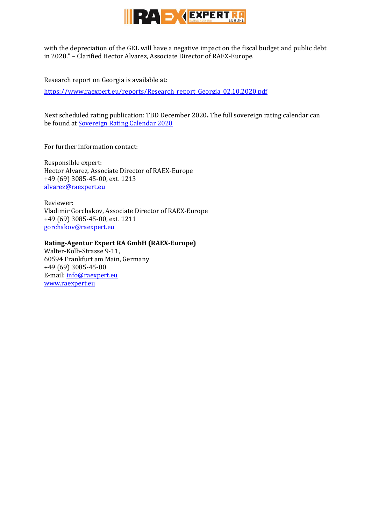

with the depreciation of the GEL will have a negative impact on the fiscal budget and public debt in 2020." – Clarified Hector Alvarez, Associate Director of RAEX-Europe.

Research report on Georgia is available at:

[https://www.raexpert.eu/reports/Research\\_report\\_Georgia\\_02.10.2020.pdf](https://www.raexpert.eu/reports/Research_report_Georgia_02.10.2020.pdf)

Next scheduled rating publication: TBD December 2020**.** The full sovereign rating calendar can be found at [Sovereign Rating Calendar 2020](https://raexpert.eu/sovereign/#conf-tab-5)

For further information contact:

Responsible expert: Hector Alvarez, Associate Director of RAEX-Europe +49 (69) 3085-45-00, ext. 1213 [alvarez@raexpert.eu](mailto:alvarez@raexpert.eu)

Reviewer: Vladimir Gorchakov, Associate Director of RAEX-Europe +49 (69) 3085-45-00, ext. 1211 [gorchakov@raexpert.eu](mailto:gorchakov@raexpert.eu)

# **Rating-Agentur Expert RA GmbH (RAEX-Europe)**

Walter-Kolb-Strasse 9-11, 60594 Frankfurt am Main, Germany +49 (69) 3085-45-00 E-mail[: info@raexpert.eu](mailto:info@raexpert.eu) [www.raexpert.eu](http://raexpert.eu/)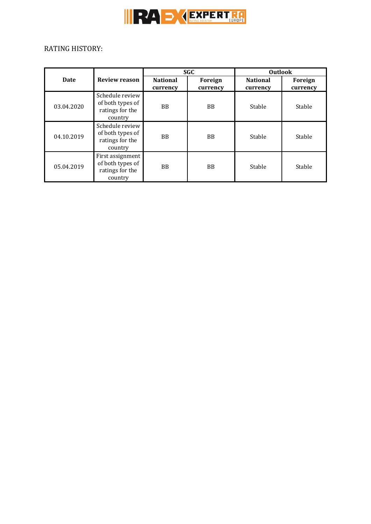

# RATING HISTORY:

| <b>Date</b> | <b>Review reason</b>                                               | <b>SGC</b>                  |                     | <b>Outlook</b>              |                     |
|-------------|--------------------------------------------------------------------|-----------------------------|---------------------|-----------------------------|---------------------|
|             |                                                                    | <b>National</b><br>currency | Foreign<br>currency | <b>National</b><br>currency | Foreign<br>currency |
| 03.04.2020  | Schedule review<br>of both types of<br>ratings for the<br>country  | <b>BB</b>                   | <b>BB</b>           | Stable                      | Stable              |
| 04.10.2019  | Schedule review<br>of both types of<br>ratings for the<br>country  | <b>BB</b>                   | <b>BB</b>           | Stable                      | Stable              |
| 05.04.2019  | First assignment<br>of both types of<br>ratings for the<br>country | <b>BB</b>                   | <b>BB</b>           | Stable                      | Stable              |